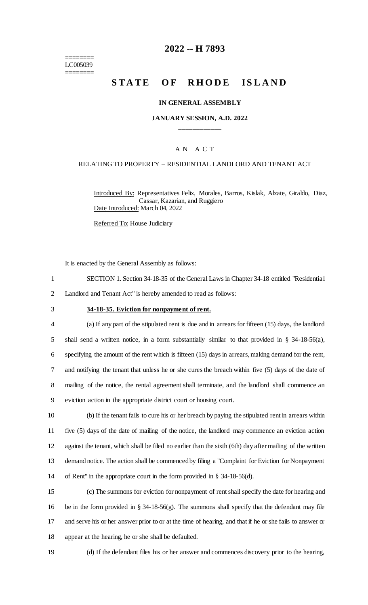======== LC005039 ========

# **2022 -- H 7893**

# **STATE OF RHODE ISLAND**

#### **IN GENERAL ASSEMBLY**

### **JANUARY SESSION, A.D. 2022 \_\_\_\_\_\_\_\_\_\_\_\_**

### A N A C T

#### RELATING TO PROPERTY – RESIDENTIAL LANDLORD AND TENANT ACT

Introduced By: Representatives Felix, Morales, Barros, Kislak, Alzate, Giraldo, Diaz, Cassar, Kazarian, and Ruggiero Date Introduced: March 04, 2022

Referred To: House Judiciary

It is enacted by the General Assembly as follows:

- 1 SECTION 1. Section 34-18-35 of the General Laws in Chapter 34-18 entitled "Residential
- 2 Landlord and Tenant Act" is hereby amended to read as follows:
- 

#### 3 **34-18-35. Eviction for nonpayment of rent.**

 (a) If any part of the stipulated rent is due and in arrears for fifteen (15) days, the landlord shall send a written notice, in a form substantially similar to that provided in § 34-18-56(a), specifying the amount of the rent which is fifteen (15) days in arrears, making demand for the rent, and notifying the tenant that unless he or she cures the breach within five (5) days of the date of mailing of the notice, the rental agreement shall terminate, and the landlord shall commence an eviction action in the appropriate district court or housing court.

 (b) If the tenant fails to cure his or her breach by paying the stipulated rent in arrears within five (5) days of the date of mailing of the notice, the landlord may commence an eviction action against the tenant, which shall be filed no earlier than the sixth (6th) day after mailing of the written demand notice. The action shall be commenced by filing a "Complaint for Eviction for Nonpayment of Rent" in the appropriate court in the form provided in § 34-18-56(d).

 (c) The summons for eviction for nonpayment of rent shall specify the date for hearing and 16 be in the form provided in § 34-18-56(g). The summons shall specify that the defendant may file and serve his or her answer prior to or at the time of hearing, and that if he or she fails to answer or appear at the hearing, he or she shall be defaulted.

19 (d) If the defendant files his or her answer and commences discovery prior to the hearing,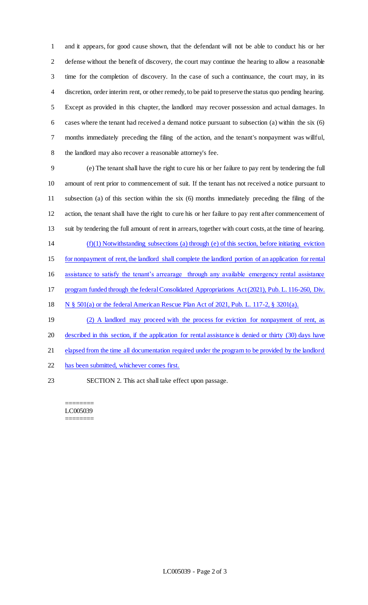and it appears, for good cause shown, that the defendant will not be able to conduct his or her 2 defense without the benefit of discovery, the court may continue the hearing to allow a reasonable time for the completion of discovery. In the case of such a continuance, the court may, in its discretion, order interim rent, or other remedy, to be paid to preserve the status quo pending hearing. Except as provided in this chapter, the landlord may recover possession and actual damages. In cases where the tenant had received a demand notice pursuant to subsection (a) within the six (6) months immediately preceding the filing of the action, and the tenant's nonpayment was willful, the landlord may also recover a reasonable attorney's fee.

 (e) The tenant shall have the right to cure his or her failure to pay rent by tendering the full amount of rent prior to commencement of suit. If the tenant has not received a notice pursuant to subsection (a) of this section within the six (6) months immediately preceding the filing of the action, the tenant shall have the right to cure his or her failure to pay rent after commencement of suit by tendering the full amount of rent in arrears, together with court costs, at the time of hearing. (f)(1) Notwithstanding subsections (a) through (e) of this section, before initiating eviction for nonpayment of rent, the landlord shall complete the landlord portion of an application for rental assistance to satisfy the tenant's arrearage through any available emergency rental assistance program funded through the federal Consolidated Appropriations Act (2021), Pub. L. 116-260, Div. N § 501(a) or the federal American Rescue Plan Act of 2021, Pub. L. 117-2, § 3201(a). (2) A landlord may proceed with the process for eviction for nonpayment of rent, as described in this section, if the application for rental assistance is denied or thirty (30) days have

- elapsed from the time all documentation required under the program to be provided by the landlord
- has been submitted, whichever comes first.
- SECTION 2. This act shall take effect upon passage.

#### ======== LC005039 ========